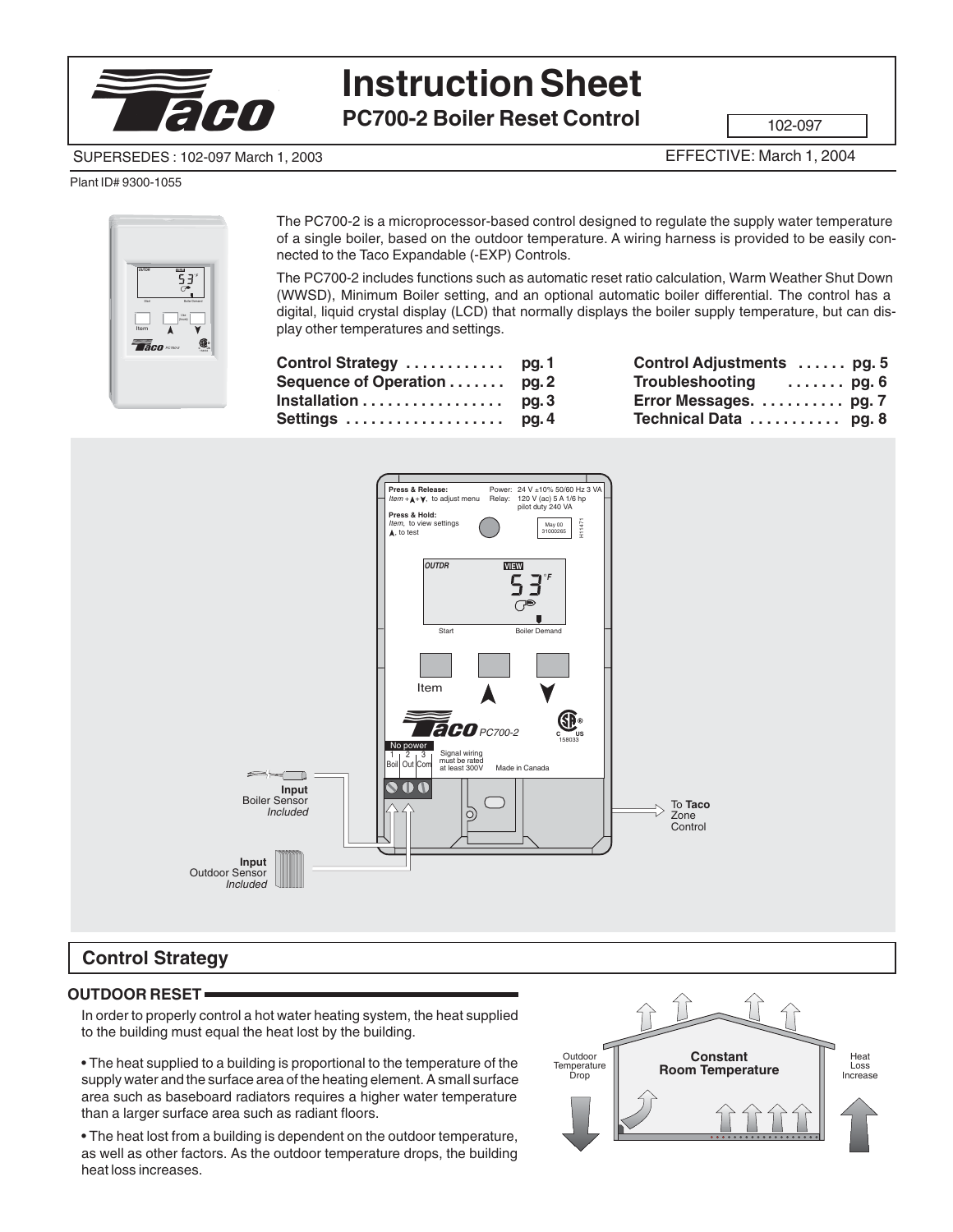

# **Instruction Sheet**

**PC700-2 Boiler Reset Control**

102-097

#### SUPERSEDES : 102-097 March 1, 2003

EFFECTIVE: March 1, 2004

#### Plant ID# 9300-1055



The PC700-2 is a microprocessor-based control designed to regulate the supply water temperature of a single boiler, based on the outdoor temperature. A wiring harness is provided to be easily connected to the Taco Expandable (-EXP) Controls.

The PC700-2 includes functions such as automatic reset ratio calculation, Warm Weather Shut Down (WWSD), Minimum Boiler setting, and an optional automatic boiler differential. The control has a digital, liquid crystal display (LCD) that normally displays the boiler supply temperature, but can display other temperatures and settings.

| Control Strategy  pg.1      | Control Adjustments  pg. 5 |  |
|-----------------------------|----------------------------|--|
| Sequence of Operation pg. 2 | Troubleshooting  pg. 6     |  |
| Installation pg. 3          | Error Messages.  pg. 7     |  |
|                             | Technical Data  pg. 8      |  |



## **Control Strategy**

#### **OUTDOOR RESET**

In order to properly control a hot water heating system, the heat supplied to the building must equal the heat lost by the building.

• The heat supplied to a building is proportional to the temperature of the supply water and the surface area of the heating element. A small surface area such as baseboard radiators requires a higher water temperature than a larger surface area such as radiant floors.

• The heat lost from a building is dependent on the outdoor temperature, as well as other factors. As the outdoor temperature drops, the building heat loss increases.

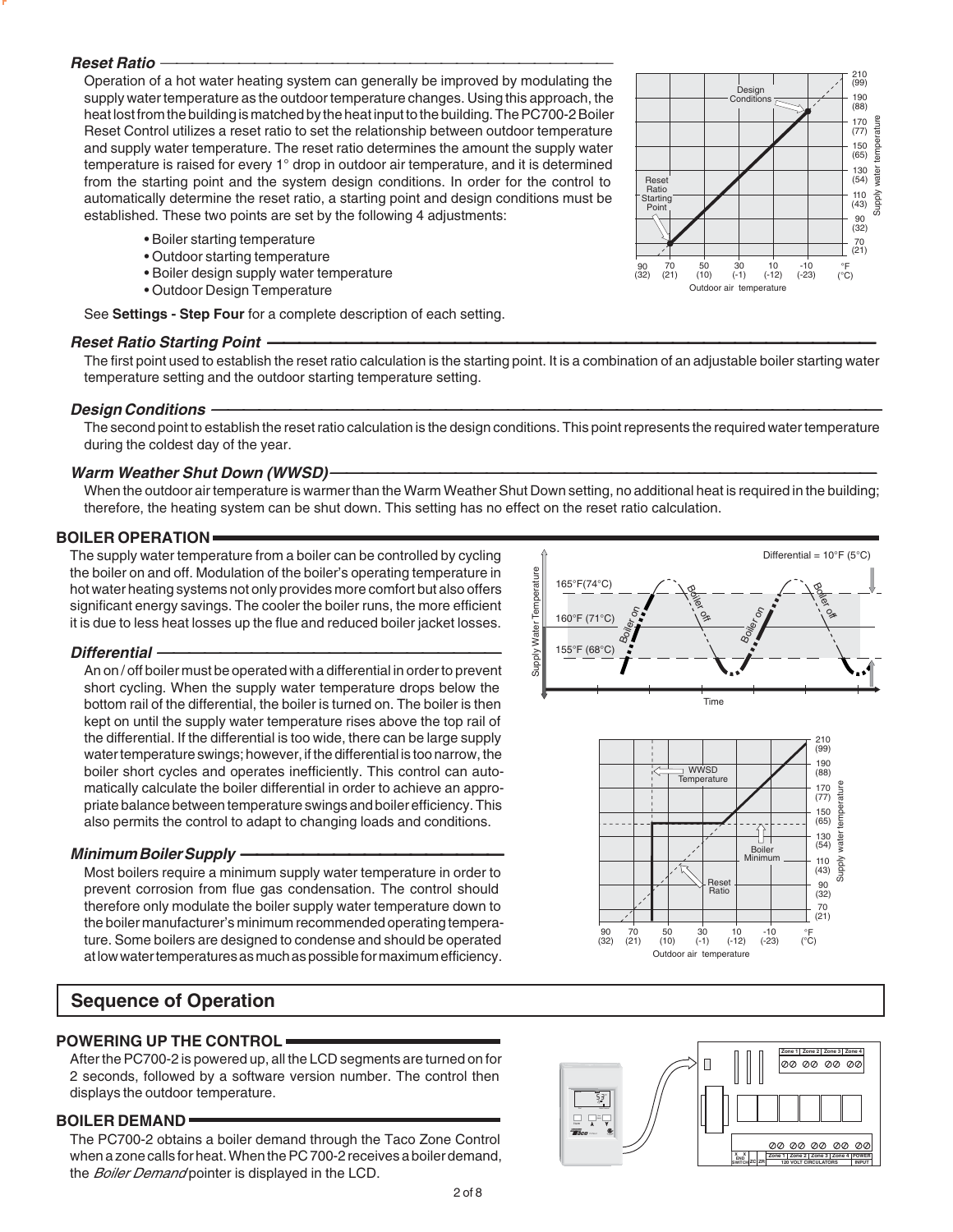#### **Reset Ratio**

Operation of a hot water heating system can generally be improved by modulating the supply water temperature as the outdoor temperature changes. Using this approach, the heat lost from the building is matched by the heat input to the building. The PC700-2 Boiler Reset Control utilizes a reset ratio to set the relationship between outdoor temperature and supply water temperature. The reset ratio determines the amount the supply water temperature is raised for every 1° drop in outdoor air temperature, and it is determined from the starting point and the system design conditions. In order for the control to automatically determine the reset ratio, a starting point and design conditions must be established. These two points are set by the following 4 adjustments:

- Boiler starting temperature
- Outdoor starting temperature
- Boiler design supply water temperature
- Outdoor Design Temperature

See **Settings - Step Four** for a complete description of each setting.

#### **Reset Ratio Starting Point**

The first point used to establish the reset ratio calculation is the starting point. It is a combination of an adjustable boiler starting water temperature setting and the outdoor starting temperature setting.

#### **Design Conditions**

The second point to establish the reset ratio calculation is the design conditions. This point represents the required water temperature during the coldest day of the year.

#### **Warm Weather Shut Down (WWSD)**

When the outdoor air temperature is warmer than the Warm Weather Shut Down setting, no additional heat is required in the building; therefore, the heating system can be shut down. This setting has no effect on the reset ratio calculation.

#### **BOILER OPERATION**

The supply water temperature from a boiler can be controlled by cycling the boiler on and off. Modulation of the boiler's operating temperature in hot water heating systems not only provides more comfort but also offers significant energy savings. The cooler the boiler runs, the more efficient it is due to less heat losses up the flue and reduced boiler jacket losses.

#### **Differential**

An on / off boiler must be operated with a differential in order to prevent short cycling. When the supply water temperature drops below the bottom rail of the differential, the boiler is turned on. The boiler is then kept on until the supply water temperature rises above the top rail of the differential. If the differential is too wide, there can be large supply water temperature swings; however, if the differential is too narrow, the boiler short cycles and operates inefficiently. This control can automatically calculate the boiler differential in order to achieve an appropriate balance between temperature swings and boiler efficiency. This also permits the control to adapt to changing loads and conditions.

#### **Minimum Boiler Supply**

Most boilers require a minimum supply water temperature in order to prevent corrosion from flue gas condensation. The control should therefore only modulate the boiler supply water temperature down to the boiler manufacturer's minimum recommended operating temperature. Some boilers are designed to condense and should be operated at low water temperatures as much as possible for maximum efficiency.

## **Sequence of Operation**

#### **POWERING UP THE CONTROL**

After the PC700-2 is powered up, all the LCD segments are turned on for 2 seconds, followed by a software version number. The control then displays the outdoor temperature.

#### **BOILER DEMAND**

The PC700-2 obtains a boiler demand through the Taco Zone Control when a zone calls for heat. When the PC 700-2 receives a boiler demand, the Boiler Demand pointer is displayed in the LCD.



Outdoor air temperature 50 (10) <sup>30</sup>

 $\frac{70}{(21)}$  $\frac{90}{(32)}$ 

(-1) <sup>10</sup> 70 50 30 10 -10<br>21) (10) (-1) (-12) (-23) °F (°C)



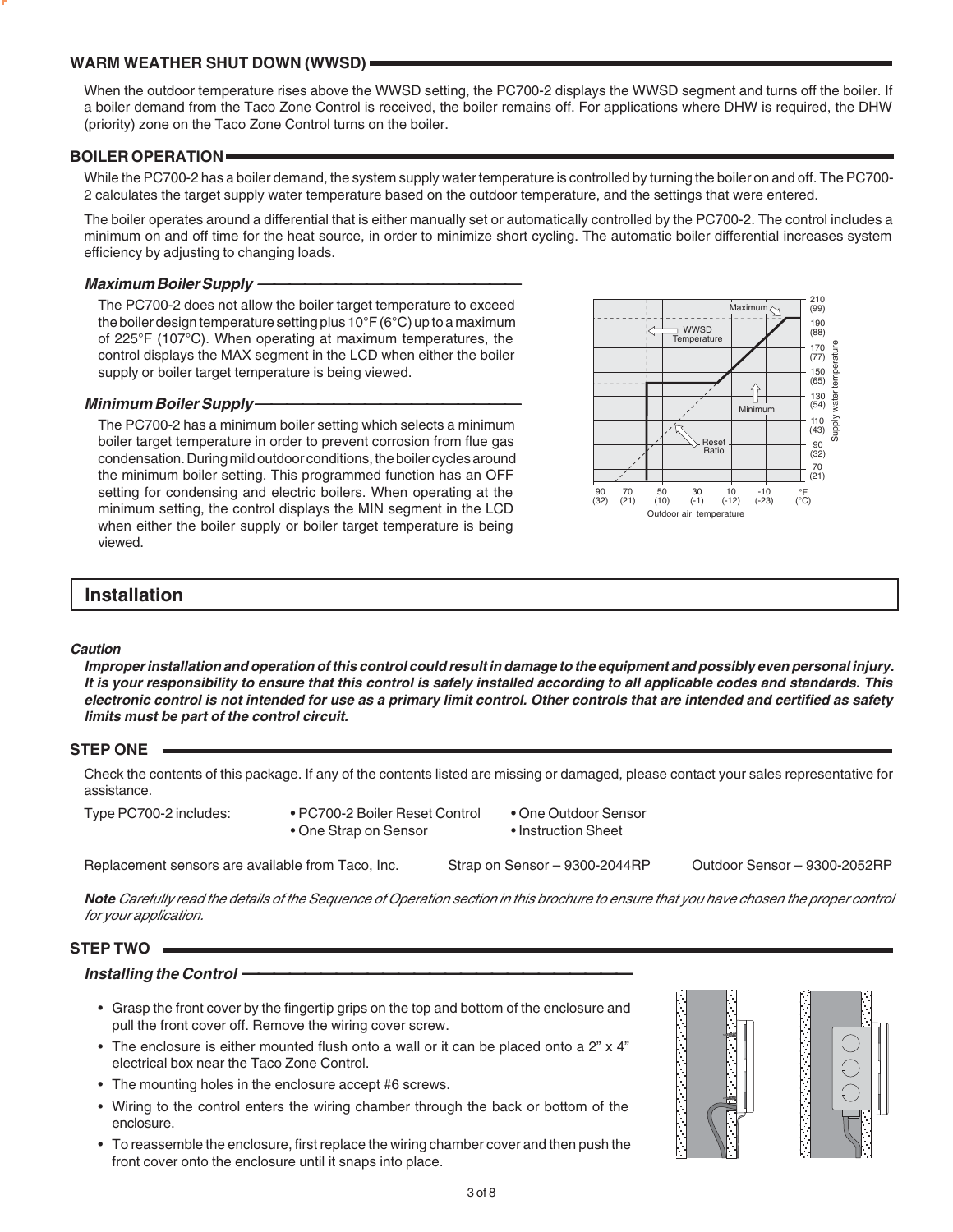#### **WARM WEATHER SHUT DOWN (WWSD)**

When the outdoor temperature rises above the WWSD setting, the PC700-2 displays the WWSD segment and turns off the boiler. If a boiler demand from the Taco Zone Control is received, the boiler remains off. For applications where DHW is required, the DHW (priority) zone on the Taco Zone Control turns on the boiler.

#### **BOILER OPERATION**

While the PC700-2 has a boiler demand, the system supply water temperature is controlled by turning the boiler on and off. The PC700- 2 calculates the target supply water temperature based on the outdoor temperature, and the settings that were entered.

The boiler operates around a differential that is either manually set or automatically controlled by the PC700-2. The control includes a minimum on and off time for the heat source, in order to minimize short cycling. The automatic boiler differential increases system efficiency by adjusting to changing loads.

#### **Maximum Boiler Supply**

The PC700-2 does not allow the boiler target temperature to exceed the boiler design temperature setting plus 10°F (6°C) up to a maximum of 225°F (107°C). When operating at maximum temperatures, the control displays the MAX segment in the LCD when either the boiler supply or boiler target temperature is being viewed.

#### **Minimum Boiler Supply**

The PC700-2 has a minimum boiler setting which selects a minimum boiler target temperature in order to prevent corrosion from flue gas condensation. During mild outdoor conditions, the boiler cycles around the minimum boiler setting. This programmed function has an OFF setting for condensing and electric boilers. When operating at the minimum setting, the control displays the MIN segment in the LCD when either the boiler supply or boiler target temperature is being viewed.



## **Installation**

#### **Caution**

**Improper installation and operation of this control could result in damage to the equipment and possibly even personal injury. It is your responsibility to ensure that this control is safely installed according to all applicable codes and standards. This electronic control is not intended for use as a primary limit control. Other controls that are intended and certified as safety limits must be part of the control circuit.**

#### **STEP ONE**

Check the contents of this package. If any of the contents listed are missing or damaged, please contact your sales representative for assistance.

Type PC700-2 includes: • PC700-2 Boiler Reset Control • One Outdoor Sensor

- 
- 
- One Strap on Sensor Instruction Sheet

Replacement sensors are available from Taco, Inc. Strap on Sensor – 9300-2044RP Outdoor Sensor – 9300-2052RP

**Note** Carefully read the details of the Sequence of Operation section in this brochure to ensure that you have chosen the proper control for your application.

#### **STEP TWO**

#### **Installing the Control**

- Grasp the front cover by the fingertip grips on the top and bottom of the enclosure and pull the front cover off. Remove the wiring cover screw.
- The enclosure is either mounted flush onto a wall or it can be placed onto a 2" x 4" electrical box near the Taco Zone Control.
- The mounting holes in the enclosure accept #6 screws.
- Wiring to the control enters the wiring chamber through the back or bottom of the enclosure.
- To reassemble the enclosure, first replace the wiring chamber cover and then push the front cover onto the enclosure until it snaps into place.



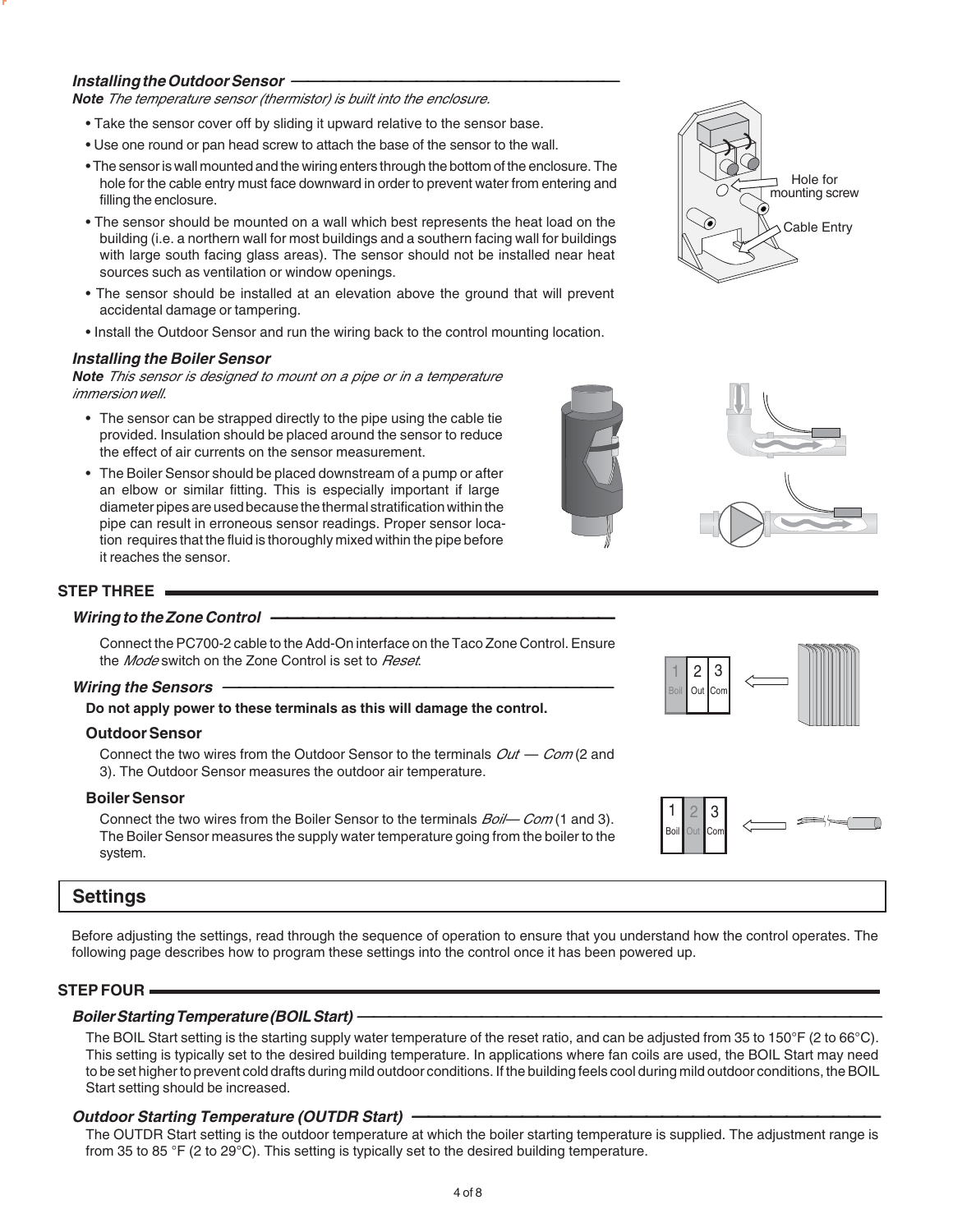#### **Installing the Outdoor Sensor**

**Note** The temperature sensor (thermistor) is built into the enclosure.

- Take the sensor cover off by sliding it upward relative to the sensor base.
- Use one round or pan head screw to attach the base of the sensor to the wall.
- The sensor is wall mounted and the wiring enters through the bottom of the enclosure. The hole for the cable entry must face downward in order to prevent water from entering and filling the enclosure.
- The sensor should be mounted on a wall which best represents the heat load on the building (i.e. a northern wall for most buildings and a southern facing wall for buildings with large south facing glass areas). The sensor should not be installed near heat sources such as ventilation or window openings.
- The sensor should be installed at an elevation above the ground that will prevent accidental damage or tampering.
- Install the Outdoor Sensor and run the wiring back to the control mounting location.

#### **Installing the Boiler Sensor**

**Note** This sensor is designed to mount on a pipe or in a temperature immersion well.

- The sensor can be strapped directly to the pipe using the cable tie provided. Insulation should be placed around the sensor to reduce the effect of air currents on the sensor measurement.
- The Boiler Sensor should be placed downstream of a pump or after an elbow or similar fitting. This is especially important if large diameter pipes are used because the thermal stratification within the pipe can result in erroneous sensor readings. Proper sensor location requires that the fluid is thoroughly mixed within the pipe before it reaches the sensor.

#### **STEP THREE**

#### **Wiring to the Zone Control**

Connect the PC700-2 cable to the Add-On interface on the Taco Zone Control. Ensure the *Mode* switch on the Zone Control is set to *Reset*.

#### **Wiring the Sensors**

**Do not apply power to these terminals as this will damage the control.**

#### **Outdoor Sensor**

Connect the two wires from the Outdoor Sensor to the terminals  $Out - Com(2)$  and 3). The Outdoor Sensor measures the outdoor air temperature.

#### **Boiler Sensor**

Connect the two wires from the Boiler Sensor to the terminals  $Boil$ — Com (1 and 3). The Boiler Sensor measures the supply water temperature going from the boiler to the system.

### **Settings**

Before adjusting the settings, read through the sequence of operation to ensure that you understand how the control operates. The following page describes how to program these settings into the control once it has been powered up.

#### **STEP FOUR**

#### **Boiler Starting Temperature (BOIL Start)**

The BOIL Start setting is the starting supply water temperature of the reset ratio, and can be adjusted from 35 to 150°F (2 to 66°C). This setting is typically set to the desired building temperature. In applications where fan coils are used, the BOIL Start may need to be set higher to prevent cold drafts during mild outdoor conditions. If the building feels cool during mild outdoor conditions, the BOIL Start setting should be increased.

## **Outdoor Starting Temperature (OUTDR Start)**

The OUTDR Start setting is the outdoor temperature at which the boiler starting temperature is supplied. The adjustment range is from 35 to 85 °F (2 to 29°C). This setting is typically set to the desired building temperature.







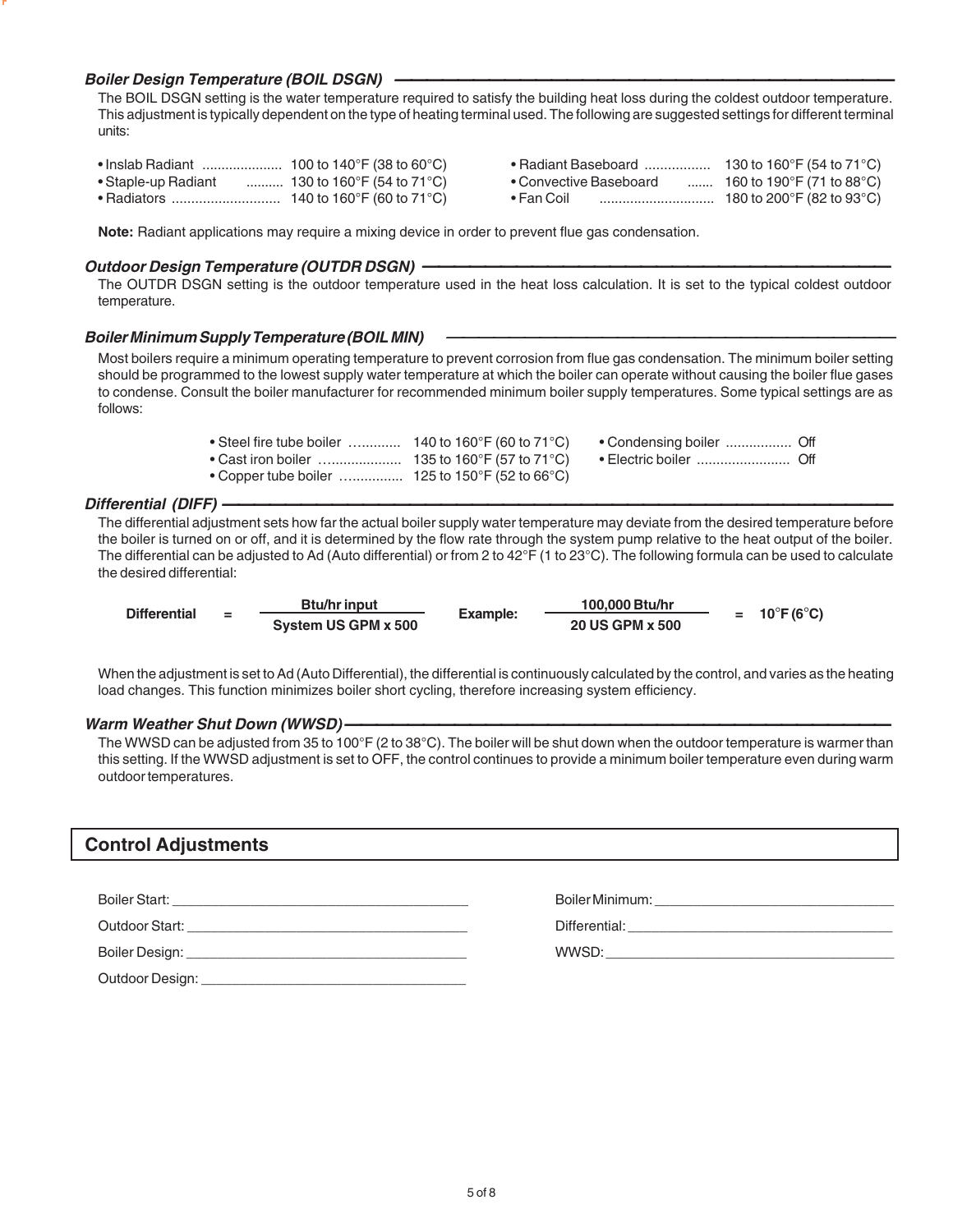#### **Boiler Design Temperature (BOIL DSGN)**

The BOIL DSGN setting is the water temperature required to satisfy the building heat loss during the coldest outdoor temperature. This adjustment is typically dependent on the type of heating terminal used. The following are suggested settings for different terminal units:

| ∙ Inslab Radiant    | 100 to 140°F (38 to 60°C)              | • Radiant Baseboard    | 130 to 160°F (54 to 71°C) |
|---------------------|----------------------------------------|------------------------|---------------------------|
| • Staple-up Radiant | . 130 to 160°F (54 to 71°C) $^{\circ}$ | • Convective Baseboard | 160 to 190°F (71 to 88°C) |
| • Radiators         | 140 to 160°F (60 to 71°C)              | • Fan Coil             | 180 to 200°F (82 to 93°C) |

| • Radiant Baseboard         | 130 to 160 $\degree$ F (54 to 71 $\degree$ C) |
|-----------------------------|-----------------------------------------------|
| • Convective Baseboard<br>. | 160 to 190 $\degree$ F (71 to 88 $\degree$ C) |
| • Fan Coil                  | 180 to 200 $\degree$ F (82 to 93 $\degree$ C) |

**Note:** Radiant applications may require a mixing device in order to prevent flue gas condensation.

#### **Outdoor Design Temperature (OUTDR DSGN)**

The OUTDR DSGN setting is the outdoor temperature used in the heat loss calculation. It is set to the typical coldest outdoor temperature.

#### **Boiler Minimum Supply Temperature (BOIL MIN)**

Most boilers require a minimum operating temperature to prevent corrosion from flue gas condensation. The minimum boiler setting should be programmed to the lowest supply water temperature at which the boiler can operate without causing the boiler flue gases to condense. Consult the boiler manufacturer for recommended minimum boiler supply temperatures. Some typical settings are as follows:

- Steel fire tube boiler ………….. 140 to 160°F (60 to 71°C) Condensing boiler …………….... Off<br>• Cast iron boiler ………………….. 135 to 160°F (57 to 71°C) Electric boiler ……………………... Off • Cast iron boiler ….................. 135 to 160°F (57 to 71°C) • Electric boiler ........................ Off
	-
- -
- Copper tube boiler …............. 125 to 150°F (52 to 66°C)

#### **Differential (DIFF)**

The differential adjustment sets how far the actual boiler supply water temperature may deviate from the desired temperature before the boiler is turned on or off, and it is determined by the flow rate through the system pump relative to the heat output of the boiler. The differential can be adjusted to Ad (Auto differential) or from 2 to 42°F (1 to 23°C). The following formula can be used to calculate the desired differential:

| <b>Differential</b> | $=$ | <b>Btu/hr input</b> | Example: | 100,000 Btu/hr         | $= 10^{\circ}F(6^{\circ}C)$ |
|---------------------|-----|---------------------|----------|------------------------|-----------------------------|
|                     |     | System US GPM x 500 |          | <b>20 US GPM x 500</b> |                             |

When the adjustment is set to Ad (Auto Differential), the differential is continuously calculated by the control, and varies as the heating load changes. This function minimizes boiler short cycling, therefore increasing system efficiency.

#### **Warm Weather Shut Down (WWSD**)

The WWSD can be adjusted from 35 to 100°F (2 to 38°C). The boiler will be shut down when the outdoor temperature is warmer than this setting. If the WWSD adjustment is set to OFF, the control continues to provide a minimum boiler temperature even during warm outdoor temperatures.

## **Control Adjustments**

| Boiler Start:                                                                                                          | Boiler Minimum:                                                  |
|------------------------------------------------------------------------------------------------------------------------|------------------------------------------------------------------|
| <u> 1989 - An Dùbhlachd an Dùbhlachd ann an Dùbhlachd ann an Dùbhlachd ann an Dùbhlachd ann an Dùbhlachd ann an Dù</u> | <u> 1989 - Johann John Stone, Amerikaansk politiker (* 1908)</u> |
| Outdoor Start:                                                                                                         | Differential:                                                    |
|                                                                                                                        |                                                                  |
| Boiler Design:                                                                                                         | WWSD:                                                            |
|                                                                                                                        |                                                                  |
| Outdoor Design:                                                                                                        |                                                                  |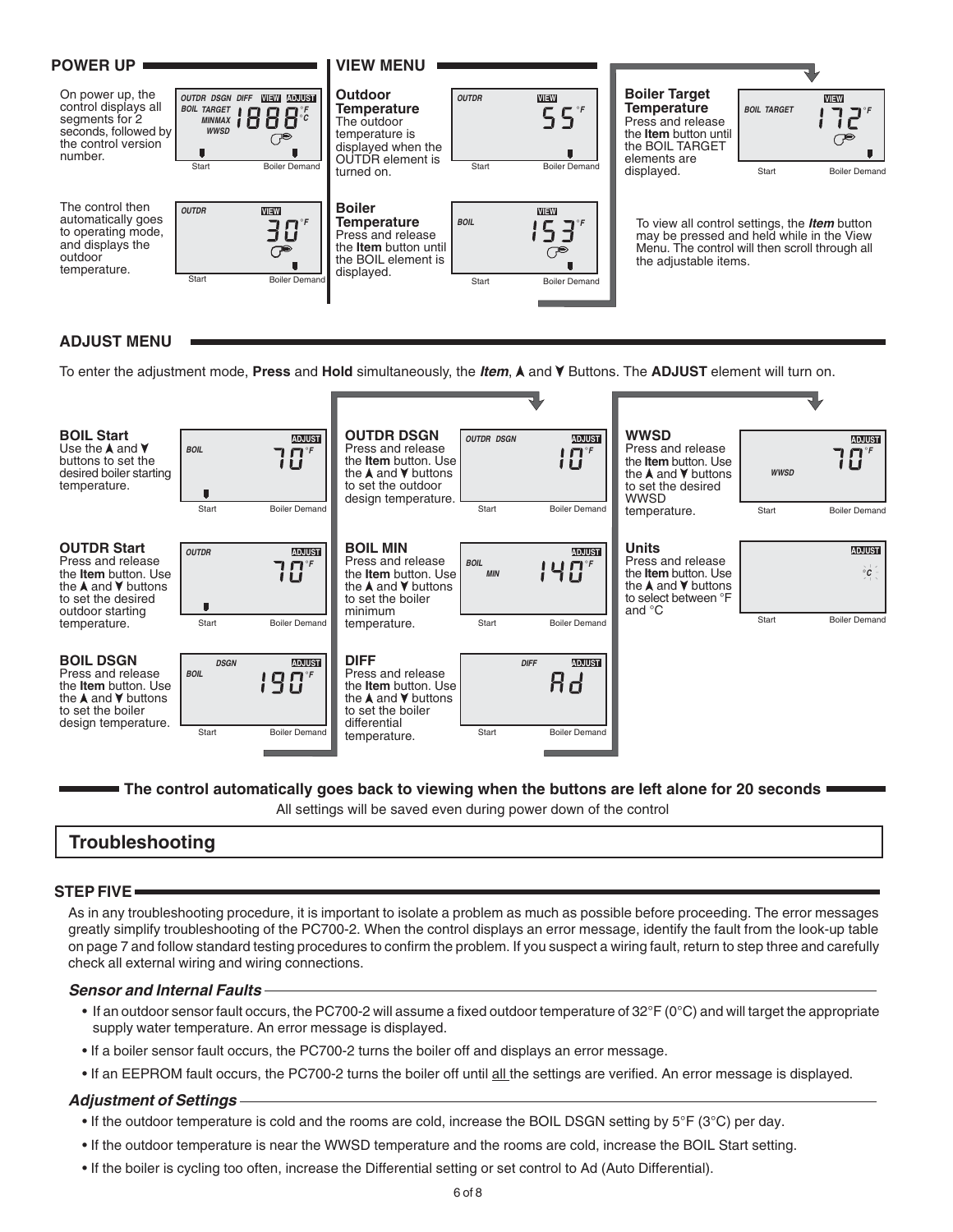

#### **ADJUST MENU**

To enter the adjustment mode, Press and Hold simultaneously, the *Item*, A and V Buttons. The ADJUST element will turn on.



**The control automatically goes back to viewing when the buttons are left alone for 20 seconds**  $\blacksquare$ 

All settings will be saved even during power down of the control

## **Troubleshooting**

#### **STEP FIVE**

As in any troubleshooting procedure, it is important to isolate a problem as much as possible before proceeding. The error messages greatly simplify troubleshooting of the PC700-2. When the control displays an error message, identify the fault from the look-up table on page 7 and follow standard testing procedures to confirm the problem. If you suspect a wiring fault, return to step three and carefully check all external wiring and wiring connections.

#### **Sensor and Internal Faults**

- If an outdoor sensor fault occurs, the PC700-2 will assume a fixed outdoor temperature of 32°F (0°C) and will target the appropriate supply water temperature. An error message is displayed.
- If a boiler sensor fault occurs, the PC700-2 turns the boiler off and displays an error message.
- If an EEPROM fault occurs, the PC700-2 turns the boiler off until all the settings are verified. An error message is displayed.

#### **Adjustment of Settings**

- If the outdoor temperature is cold and the rooms are cold, increase the BOIL DSGN setting by  $5^{\circ}F$  (3°C) per day.
- If the outdoor temperature is near the WWSD temperature and the rooms are cold, increase the BOIL Start setting.
- If the boiler is cycling too often, increase the Differential setting or set control to Ad (Auto Differential).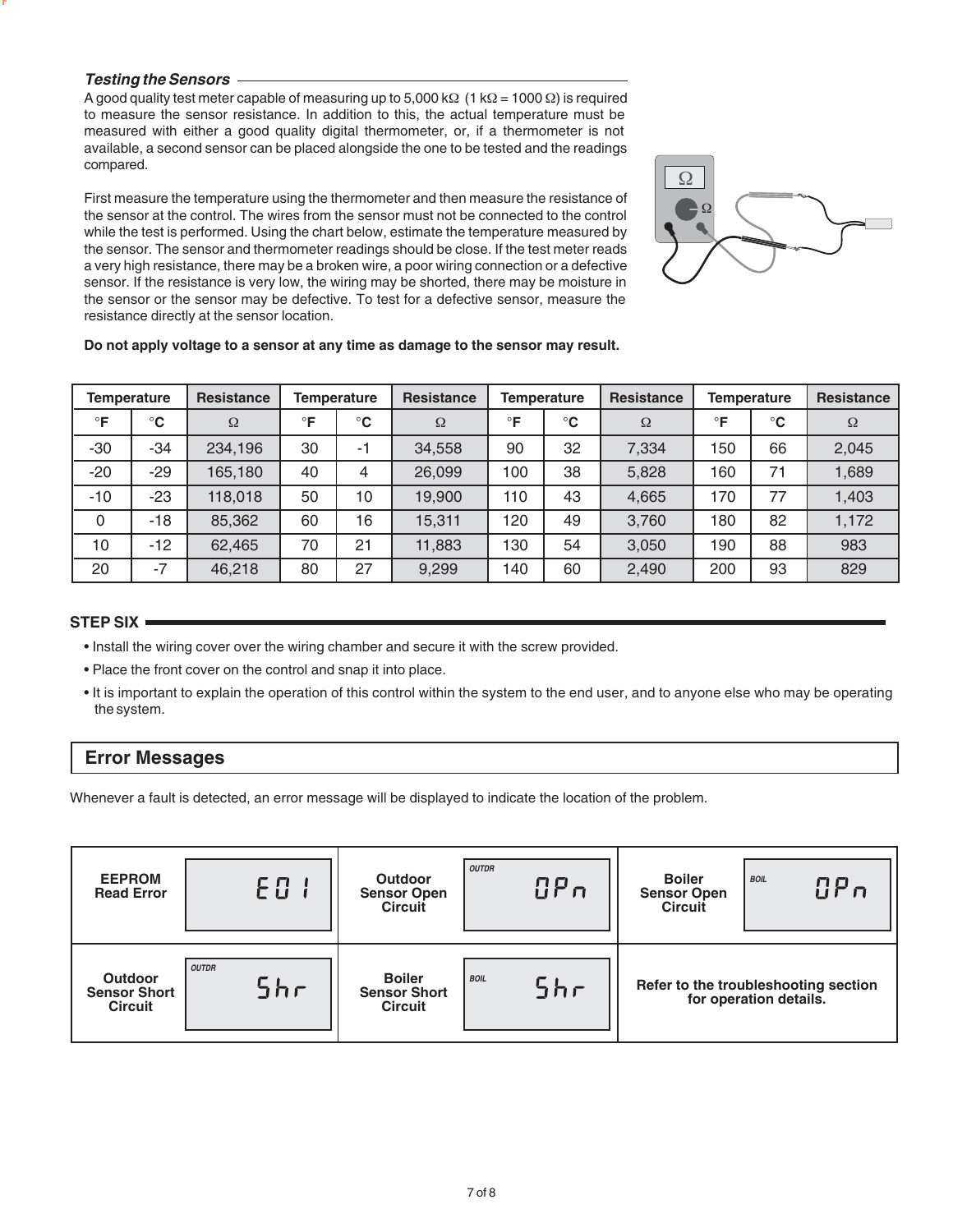#### **Testing the Sensors**

A good quality test meter capable of measuring up to 5,000 kΩ (1 kΩ = 1000 Ω) is required to measure the sensor resistance. In addition to this, the actual temperature must be measured with either a good quality digital thermometer, or, if a thermometer is not available, a second sensor can be placed alongside the one to be tested and the readings compared.

First measure the temperature using the thermometer and then measure the resistance of the sensor at the control. The wires from the sensor must not be connected to the control while the test is performed. Using the chart below, estimate the temperature measured by the sensor. The sensor and thermometer readings should be close. If the test meter reads a very high resistance, there may be a broken wire, a poor wiring connection or a defective sensor. If the resistance is very low, the wiring may be shorted, there may be moisture in the sensor or the sensor may be defective. To test for a defective sensor, measure the resistance directly at the sensor location.



#### **Do not apply voltage to a sensor at any time as damage to the sensor may result.**

| Temperature |              | <b>Resistance</b> |              | Temperature  | <b>Resistance</b> |           | <b>Temperature</b> | <b>Resistance</b> |           | Temperature  | <b>Resistance</b> |
|-------------|--------------|-------------------|--------------|--------------|-------------------|-----------|--------------------|-------------------|-----------|--------------|-------------------|
| $\circ$ F   | $^{\circ}$ C | $\Omega$          | $\mathsf{P}$ | $^{\circ}$ C | $\Omega$          | $\circ$ F | $^{\circ}$ C       | $\Omega$          | $\circ$ F | $^{\circ}$ C | Ω                 |
| $-30$       | -34          | 234,196           | 30           | $-1$         | 34,558            | 90        | 32                 | 7,334             | 150       | 66           | 2,045             |
| $-20$       | $-29$        | 165,180           | 40           | 4            | 26,099            | 100       | 38                 | 5,828             | 160       | 71           | 1,689             |
| $-10$       | $-23$        | 118,018           | 50           | 10           | 19,900            | 110       | 43                 | 4,665             | 170       | 77           | 1,403             |
| 0           | -18          | 85,362            | 60           | 16           | 15,311            | 120       | 49                 | 3,760             | 180       | 82           | 1,172             |
| 10          | $-12$        | 62,465            | 70           | 21           | 11,883            | 130       | 54                 | 3,050             | 190       | 88           | 983               |
| 20          | $-7$         | 46,218            | 80           | 27           | 9,299             | 140       | 60                 | 2,490             | 200       | 93           | 829               |

#### **STEP SIX**

- Install the wiring cover over the wiring chamber and secure it with the screw provided.
- Place the front cover on the control and snap it into place.
- It is important to explain the operation of this control within the system to the end user, and to anyone else who may be operating the system.

## **Error Messages**

Whenever a fault is detected, an error message will be displayed to indicate the location of the problem.

| <b>EEPROM</b><br><b>Read Error</b>                      | $E \cup I$          | <b>Outdoor</b><br><b>Sensor Open</b><br>Circuit        | <b>OUTDR</b><br>$\mathbf{G} \mathbf{P} \boldsymbol{\mathsf{n}}$ | <b>Boiler</b><br><b>Sensor Open</b><br>Circuit | <b>BOIL</b><br>$\mathbf{B} \mathbf{P}$ n                       |
|---------------------------------------------------------|---------------------|--------------------------------------------------------|-----------------------------------------------------------------|------------------------------------------------|----------------------------------------------------------------|
| <b>Outdoor</b><br><b>Sensor Short</b><br><b>Circuit</b> | <b>OUTDR</b><br>Shr | <b>Boiler</b><br><b>Sensor Short</b><br><b>Circuit</b> | <b>BOIL</b><br>5hr                                              |                                                | Refer to the troubleshooting section<br>for operation details. |